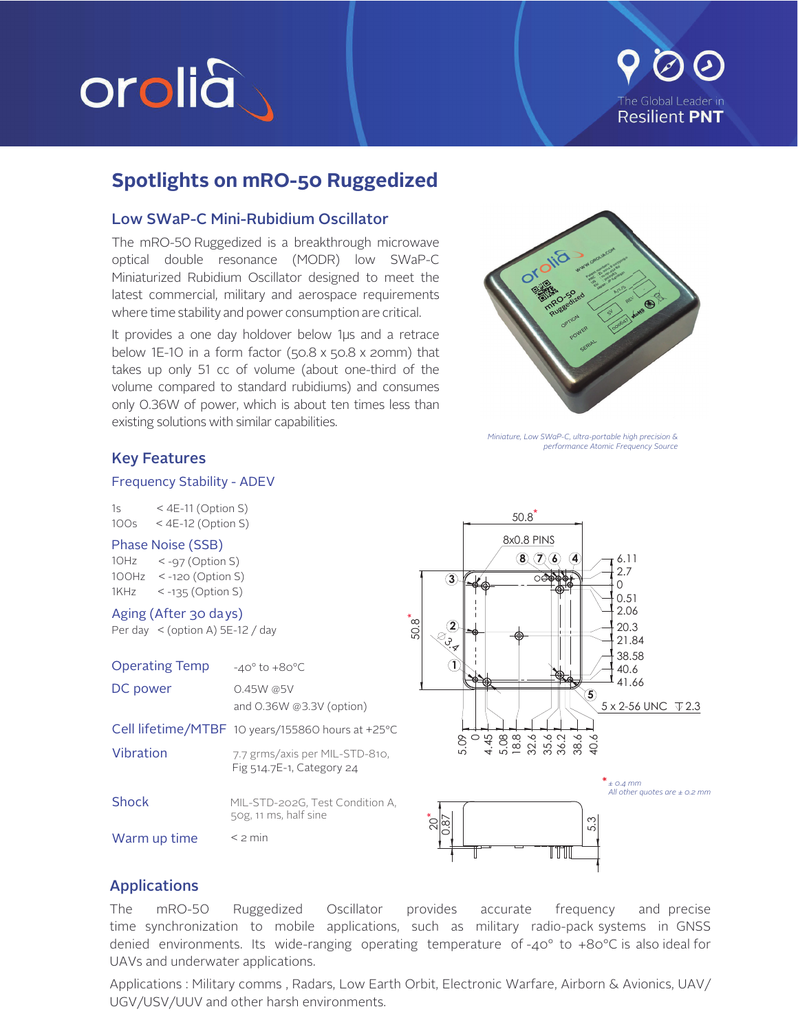

# The Global Leader in **Resilient PNT**

### **Spotlights on mRO-50 Ruggedized**

#### **Low SWaP-C Mini-Rubidium Oscillator**

The mRO-50 Ruggedized is a breakthrough microwave optical double resonance (MODR) low SWaP-C Miniaturized Rubidium Oscillator designed to meet the latest commercial, military and aerospace requirements where time stability and power consumption are critical.

It provides a one day holdover below 1µs and a retrace below 1E-10 in a form factor (50.8 x 50.8 x 20mm) that takes up only 51 cc of volume (about one-third of the volume compared to standard rubidiums) and consumes only 0.36W of power, which is about ten times less than existing solutions with similar capabilities.



Miniature, Low SWaP-C, ultra-portable high precision & performance Atomic Frequency Source

#### **Key Features**

#### **Frequency Stability - ADEV**

| 1s   | < 4E-11 (Option S) |
|------|--------------------|
| 100s | < 4E-12 (Option S) |

#### Phase Noise (SSB)

 $10Hz \le -97$  (Option S)  $100Hz$  < -120 (Option S)  $<$  -135 (Option S) 1KHz

Aging (After 30 days)

Per day  $\le$  (option A) 5E-12 / day

| <b>Operating Temp</b> | $-40^\circ$ to $+80^\circ C$                                |
|-----------------------|-------------------------------------------------------------|
| DC power              | $0.45W$ @5V<br>and $0.36W$ @3.3V (option)                   |
|                       | Cell lifetime/MTBF 10 years/155860 hours at +25°C           |
| Vibration             | 7.7 grms/axis per MIL-STD-810,<br>Fig 514.7E-1, Category 24 |
| Shock                 | MIL-STD-202G, Test Condition A,<br>50g, 11 ms, half sine    |
| Warm up time          | $\leq$ 2 min                                                |



#### **Applications**

The mRO-50 Ruggedized Oscillator provides frequency accurate and precise time synchronization to mobile applications, such as military radio-pack-systems in GNSS denied environments. Its wide-ranging operating temperature of-40° to +80°C is also ideal for UAVs and underwater applications.

Applications : Military comms, Radars, Low Earth Orbit, Electronic Warfare, Airborn & Avionics, UAV/ UGV/USV/UUV and other harsh environments.